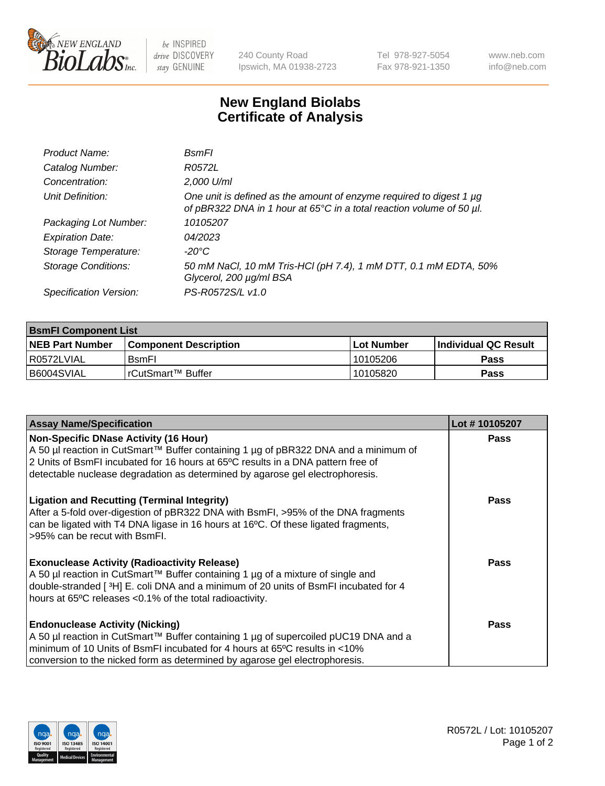

 $be$  INSPIRED drive DISCOVERY stay GENUINE

240 County Road Ipswich, MA 01938-2723 Tel 978-927-5054 Fax 978-921-1350 www.neb.com info@neb.com

## **New England Biolabs Certificate of Analysis**

| Product Name:              | BsmFl                                                                                                                                       |
|----------------------------|---------------------------------------------------------------------------------------------------------------------------------------------|
| Catalog Number:            | R0572L                                                                                                                                      |
| Concentration:             | 2,000 U/ml                                                                                                                                  |
| Unit Definition:           | One unit is defined as the amount of enzyme required to digest 1 µg<br>of pBR322 DNA in 1 hour at 65°C in a total reaction volume of 50 µl. |
| Packaging Lot Number:      | 10105207                                                                                                                                    |
| <b>Expiration Date:</b>    | 04/2023                                                                                                                                     |
| Storage Temperature:       | -20°C                                                                                                                                       |
| <b>Storage Conditions:</b> | 50 mM NaCl, 10 mM Tris-HCl (pH 7.4), 1 mM DTT, 0.1 mM EDTA, 50%<br>Glycerol, 200 µg/ml BSA                                                  |
| Specification Version:     | PS-R0572S/L v1.0                                                                                                                            |

| <b>BsmFI Component List</b> |                         |              |                             |  |
|-----------------------------|-------------------------|--------------|-----------------------------|--|
| <b>NEB Part Number</b>      | l Component Description | l Lot Number | <b>Individual QC Result</b> |  |
| I R0572LVIAL                | <b>B</b> smFI           | 10105206     | Pass                        |  |
| B6004SVIAL                  | l rCutSmart™ Buffer     | 10105820     | Pass                        |  |

| <b>Assay Name/Specification</b>                                                                                                                                                                                                                                                                          | Lot #10105207 |
|----------------------------------------------------------------------------------------------------------------------------------------------------------------------------------------------------------------------------------------------------------------------------------------------------------|---------------|
| <b>Non-Specific DNase Activity (16 Hour)</b><br>A 50 µl reaction in CutSmart™ Buffer containing 1 µg of pBR322 DNA and a minimum of<br>2 Units of BsmFI incubated for 16 hours at 65°C results in a DNA pattern free of<br>detectable nuclease degradation as determined by agarose gel electrophoresis. | <b>Pass</b>   |
| <b>Ligation and Recutting (Terminal Integrity)</b><br>After a 5-fold over-digestion of pBR322 DNA with BsmFI, >95% of the DNA fragments<br>can be ligated with T4 DNA ligase in 16 hours at 16°C. Of these ligated fragments,<br>>95% can be recut with BsmFI.                                           | Pass          |
| <b>Exonuclease Activity (Radioactivity Release)</b><br>A 50 µl reaction in CutSmart™ Buffer containing 1 µg of a mixture of single and<br>double-stranded [3H] E. coli DNA and a minimum of 20 units of BsmFI incubated for 4<br>hours at 65°C releases <0.1% of the total radioactivity.                | Pass          |
| <b>Endonuclease Activity (Nicking)</b><br>A 50 µl reaction in CutSmart™ Buffer containing 1 µg of supercoiled pUC19 DNA and a<br>minimum of 10 Units of BsmFI incubated for 4 hours at 65 <sup>o</sup> C results in <10%<br>conversion to the nicked form as determined by agarose gel electrophoresis.  | Pass          |